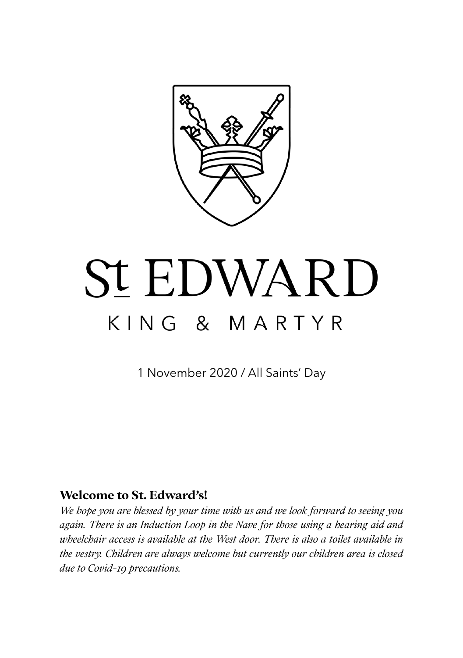

# St EDWARD KING & MARTYR

1 November 2020 / All Saints' Day

## **Welcome to St. Edward's!**

*We hope you are blessed by your time with us and we look forward to seeing you again. There is an Induction Loop in the Nave for those using a hearing aid and wheelchair access is available at the West door. There is also a toilet available in the vestry. Children are always welcome but currently our children area is closed due to Covid-19 precautions.*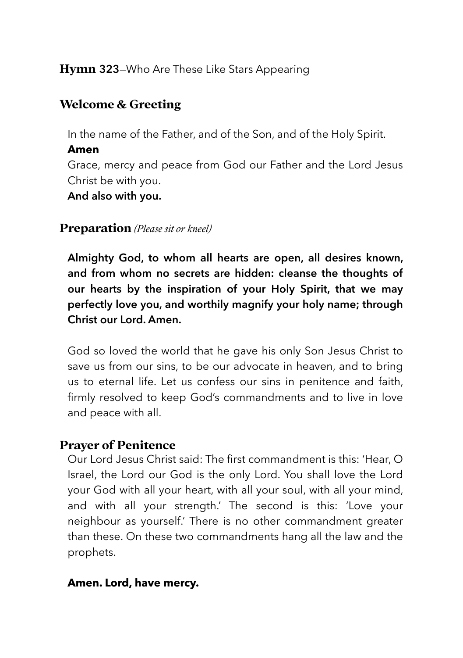## **Hymn 323**—Who Are These Like Stars Appearing

## **Welcome & Greeting**

In the name of the Father, and of the Son, and of the Holy Spirit.

#### **Amen**

Grace, mercy and peace from God our Father and the Lord Jesus Christ be with you.

**And also with you.**

#### **Preparation** *(Please sit or kneel)*

**Almighty God, to whom all hearts are open, all desires known, and from whom no secrets are hidden: cleanse the thoughts of our hearts by the inspiration of your Holy Spirit, that we may perfectly love you, and worthily magnify your holy name; through Christ our Lord. Amen.** 

God so loved the world that he gave his only Son Jesus Christ to save us from our sins, to be our advocate in heaven, and to bring us to eternal life. Let us confess our sins in penitence and faith, firmly resolved to keep God's commandments and to live in love and peace with all.

#### **Prayer of Penitence**

Our Lord Jesus Christ said: The first commandment is this: 'Hear, O Israel, the Lord our God is the only Lord. You shall love the Lord your God with all your heart, with all your soul, with all your mind, and with all your strength.' The second is this: 'Love your neighbour as yourself.' There is no other commandment greater than these. On these two commandments hang all the law and the prophets.

#### **Amen. Lord, have mercy.**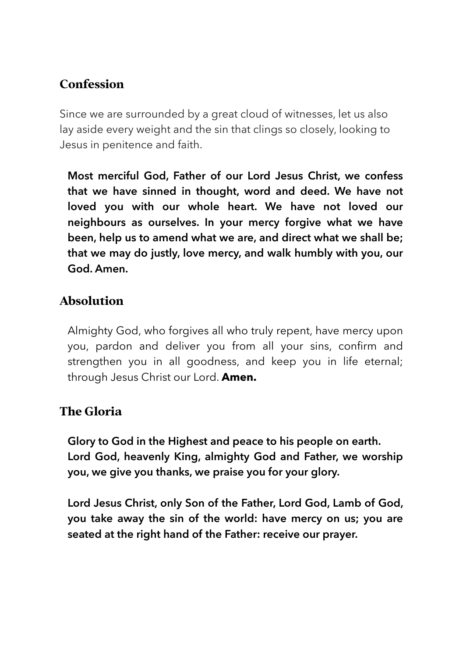# **Confession**

Since we are surrounded by a great cloud of witnesses, let us also lay aside every weight and the sin that clings so closely, looking to Jesus in penitence and faith.

**Most merciful God, Father of our Lord Jesus Christ, we confess that we have sinned in thought, word and deed. We have not loved you with our whole heart. We have not loved our neighbours as ourselves. In your mercy forgive what we have been, help us to amend what we are, and direct what we shall be; that we may do justly, love mercy, and walk humbly with you, our God. Amen.** 

# **Absolution**

Almighty God, who forgives all who truly repent, have mercy upon you, pardon and deliver you from all your sins, confirm and strengthen you in all goodness, and keep you in life eternal; through Jesus Christ our Lord. **Amen.**

# **The Gloria**

**Glory to God in the Highest and peace to his people on earth. Lord God, heavenly King, almighty God and Father, we worship you, we give you thanks, we praise you for your glory.** 

**Lord Jesus Christ, only Son of the Father, Lord God, Lamb of God, you take away the sin of the world: have mercy on us; you are seated at the right hand of the Father: receive our prayer.**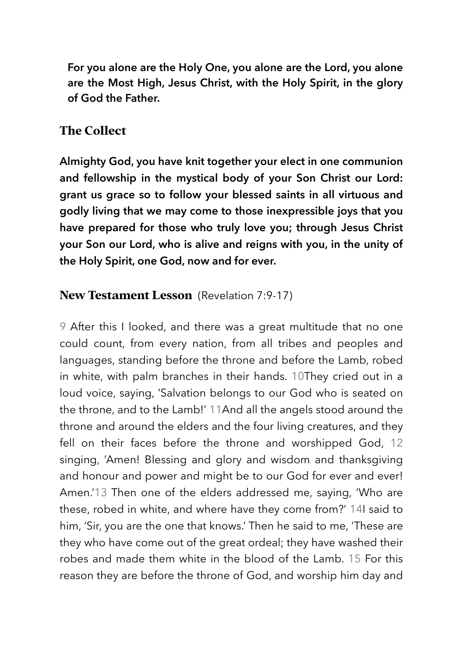**For you alone are the Holy One, you alone are the Lord, you alone are the Most High, Jesus Christ, with the Holy Spirit, in the glory of God the Father.** 

## **The Collect**

**Almighty God, you have knit together your elect in one communion and fellowship in the mystical body of your Son Christ our Lord: grant us grace so to follow your blessed saints in all virtuous and godly living that we may come to those inexpressible joys that you have prepared for those who truly love you; through Jesus Christ your Son our Lord, who is alive and reigns with you, in the unity of the Holy Spirit, one God, now and for ever.** 

## **New Testament Lesson** (Revelation 7:9-17)

9 After this I looked, and there was a great multitude that no one could count, from every nation, from all tribes and peoples and languages, standing before the throne and before the Lamb, robed in white, with palm branches in their hands. 10They cried out in a loud voice, saying, 'Salvation belongs to our God who is seated on the throne, and to the Lamb!' 11And all the angels stood around the throne and around the elders and the four living creatures, and they fell on their faces before the throne and worshipped God, 12 singing, 'Amen! Blessing and glory and wisdom and thanksgiving and honour and power and might be to our God for ever and ever! Amen.'13 Then one of the elders addressed me, saying, 'Who are these, robed in white, and where have they come from?' 14I said to him, 'Sir, you are the one that knows.' Then he said to me, 'These are they who have come out of the great ordeal; they have washed their robes and made them white in the blood of the Lamb. 15 For this reason they are before the throne of God, and worship him day and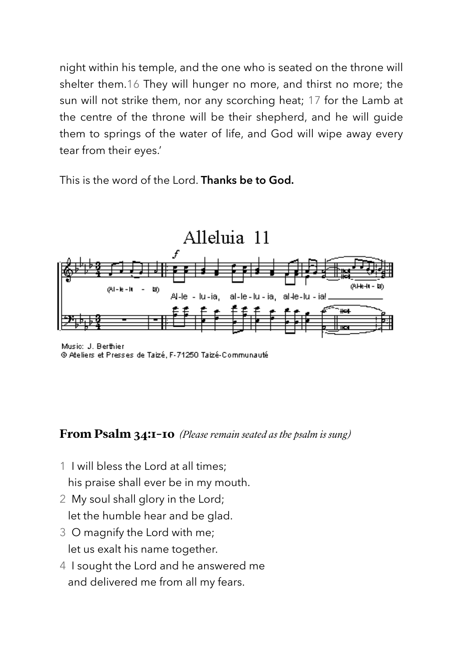night within his temple, and the one who is seated on the throne will shelter them.16 They will hunger no more, and thirst no more; the sun will not strike them, nor any scorching heat; 17 for the Lamb at the centre of the throne will be their shepherd, and he will guide them to springs of the water of life, and God will wipe away every tear from their eyes.'

This is the word of the Lord. **Thanks be to God.**



Music: J. Berthier 

## **From Psalm 34:1-10** *(Please remain seated as the psalm is sung)*

- 1 I will bless the Lord at all times; his praise shall ever be in my mouth.
- 2 My soul shall glory in the Lord; let the humble hear and be glad.
- 3 O magnify the Lord with me; let us exalt his name together.
- 4 I sought the Lord and he answered me and delivered me from all my fears.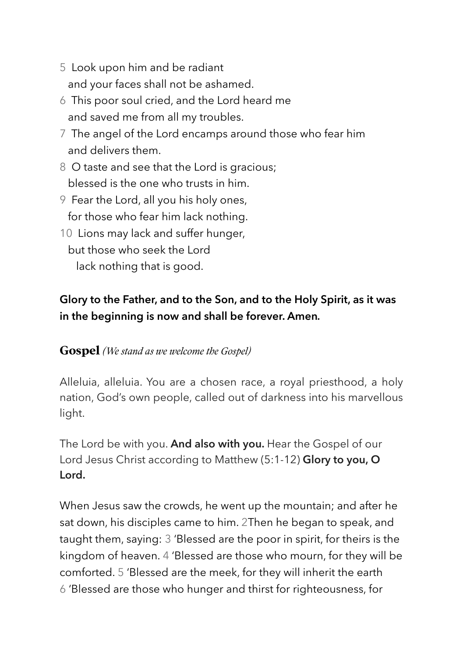- 5 Look upon him and be radiant and your faces shall not be ashamed.
- 6 This poor soul cried, and the Lord heard me and saved me from all my troubles.
- 7 The angel of the Lord encamps around those who fear him and delivers them.
- 8 O taste and see that the Lord is gracious; blessed is the one who trusts in him.
- 9 Fear the Lord, all you his holy ones, for those who fear him lack nothing.
- 10 Lions may lack and suffer hunger, but those who seek the Lord lack nothing that is good.

# **Glory to the Father, and to the Son, and to the Holy Spirit, as it was in the beginning is now and shall be forever. Amen***.*

## **Gospel** *(We stand as we welcome the Gospel)*

Alleluia, alleluia. You are a chosen race, a royal priesthood, a holy nation, God's own people, called out of darkness into his marvellous light.

The Lord be with you. **And also with you.** Hear the Gospel of our Lord Jesus Christ according to Matthew (5:1-12) **Glory to you, O Lord.** 

When Jesus saw the crowds, he went up the mountain; and after he sat down, his disciples came to him. 2Then he began to speak, and taught them, saying: 3 'Blessed are the poor in spirit, for theirs is the kingdom of heaven. 4 'Blessed are those who mourn, for they will be comforted. 5 'Blessed are the meek, for they will inherit the earth 6 'Blessed are those who hunger and thirst for righteousness, for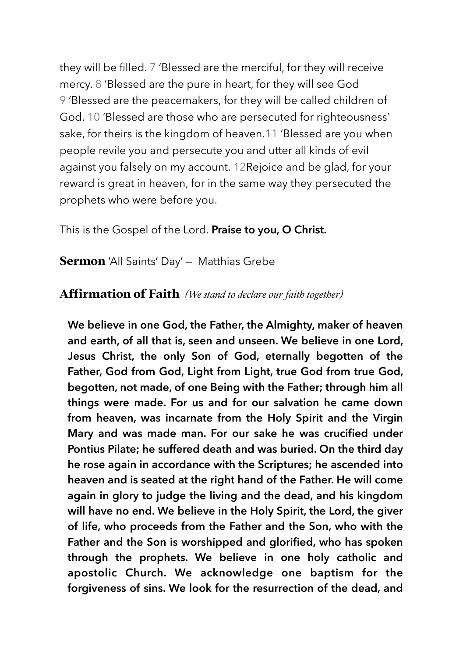they will be filled. 7 'Blessed are the merciful, for they will receive mercy. 8 'Blessed are the pure in heart, for they will see God 9 'Blessed are the peacemakers, for they will be called children of God. 10 'Blessed are those who are persecuted for righteousness' sake, for theirs is the kingdom of heaven.11 'Blessed are you when people revile you and persecute you and utter all kinds of evil against you falsely on my account. 12Rejoice and be glad, for your reward is great in heaven, for in the same way they persecuted the prophets who were before you.

This is the Gospel of the Lord. **Praise to you, O Christ.**

**Sermon** 'All Saints' Day' — Matthias Grebe

## **Afrmation of Faith** *(We stand to declare our faith together)*

**We believe in one God, the Father, the Almighty, maker of heaven and earth, of all that is, seen and unseen. We believe in one Lord, Jesus Christ, the only Son of God, eternally begotten of the Father, God from God, Light from Light, true God from true God, begotten, not made, of one Being with the Father; through him all things were made. For us and for our salvation he came down from heaven, was incarnate from the Holy Spirit and the Virgin Mary and was made man. For our sake he was crucified under Pontius Pilate; he suffered death and was buried. On the third day he rose again in accordance with the Scriptures; he ascended into heaven and is seated at the right hand of the Father. He will come again in glory to judge the living and the dead, and his kingdom will have no end. We believe in the Holy Spirit, the Lord, the giver of life, who proceeds from the Father and the Son, who with the Father and the Son is worshipped and glorified, who has spoken through the prophets. We believe in one holy catholic and apostolic Church. We acknowledge one baptism for the forgiveness of sins. We look for the resurrection of the dead, and**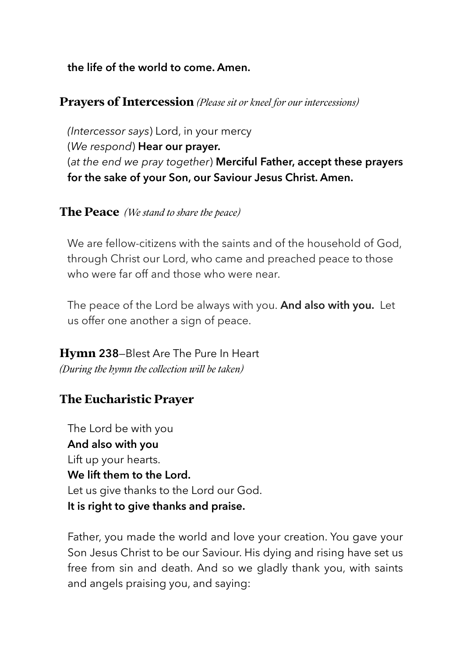**the life of the world to come. Amen.** 

## **Prayers of Intercession** *(Please sit or kneel for our intercessions)*

*(Intercessor says*) Lord, in your mercy (*We respond*) **Hear our prayer.** (*at the end we pray together*) **Merciful Father, accept these prayers for the sake of your Son, our Saviour Jesus Christ. Amen.**

## **The Peace** *(We stand to share the peace)*

We are fellow-citizens with the saints and of the household of God. through Christ our Lord, who came and preached peace to those who were far off and those who were near.

The peace of the Lord be always with you. **And also with you.** Let us offer one another a sign of peace.

**Hymn 238**—Blest Are The Pure In Heart *(During the hymn the collection will be taken)* 

# **The Eucharistic Prayer**

The Lord be with you **And also with you**  Lift up your hearts. **We lift them to the Lord.**  Let us give thanks to the Lord our God. **It is right to give thanks and praise.** 

Father, you made the world and love your creation. You gave your Son Jesus Christ to be our Saviour. His dying and rising have set us free from sin and death. And so we gladly thank you, with saints and angels praising you, and saying: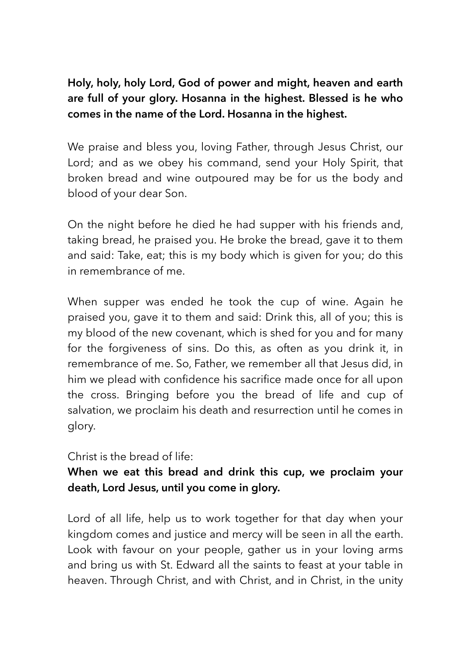**Holy, holy, holy Lord, God of power and might, heaven and earth are full of your glory. Hosanna in the highest. Blessed is he who comes in the name of the Lord. Hosanna in the highest.** 

We praise and bless you, loving Father, through Jesus Christ, our Lord; and as we obey his command, send your Holy Spirit, that broken bread and wine outpoured may be for us the body and blood of your dear Son.

On the night before he died he had supper with his friends and, taking bread, he praised you. He broke the bread, gave it to them and said: Take, eat; this is my body which is given for you; do this in remembrance of me.

When supper was ended he took the cup of wine. Again he praised you, gave it to them and said: Drink this, all of you; this is my blood of the new covenant, which is shed for you and for many for the forgiveness of sins. Do this, as often as you drink it, in remembrance of me. So, Father, we remember all that Jesus did, in him we plead with confidence his sacrifice made once for all upon the cross. Bringing before you the bread of life and cup of salvation, we proclaim his death and resurrection until he comes in glory.

Christ is the bread of life:

## **When we eat this bread and drink this cup, we proclaim your death, Lord Jesus, until you come in glory.**

Lord of all life, help us to work together for that day when your kingdom comes and justice and mercy will be seen in all the earth. Look with favour on your people, gather us in your loving arms and bring us with St. Edward all the saints to feast at your table in heaven. Through Christ, and with Christ, and in Christ, in the unity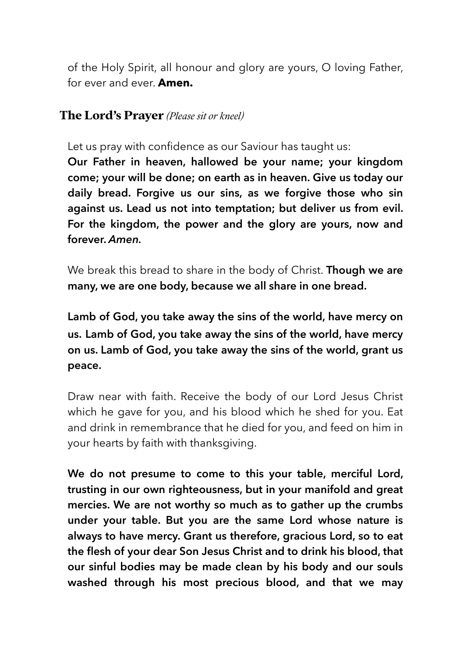of the Holy Spirit, all honour and glory are yours, O loving Father, for ever and ever. **Amen.**

## **The Lord's Prayer** *(Please sit or kneel)*

Let us pray with confidence as our Saviour has taught us:

**Our Father in heaven, hallowed be your name; your kingdom come; your will be done; on earth as in heaven. Give us today our daily bread. Forgive us our sins, as we forgive those who sin against us. Lead us not into temptation; but deliver us from evil. For the kingdom, the power and the glory are yours, now and forever.** *Amen.*

We break this bread to share in the body of Christ. **Though we are many, we are one body, because we all share in one bread.**

**Lamb of God, you take away the sins of the world, have mercy on us. Lamb of God, you take away the sins of the world, have mercy on us. Lamb of God, you take away the sins of the world, grant us peace.** 

Draw near with faith. Receive the body of our Lord Jesus Christ which he gave for you, and his blood which he shed for you. Eat and drink in remembrance that he died for you, and feed on him in your hearts by faith with thanksgiving.

**We do not presume to come to this your table, merciful Lord, trusting in our own righteousness, but in your manifold and great mercies. We are not worthy so much as to gather up the crumbs under your table. But you are the same Lord whose nature is always to have mercy. Grant us therefore, gracious Lord, so to eat the flesh of your dear Son Jesus Christ and to drink his blood, that our sinful bodies may be made clean by his body and our souls washed through his most precious blood, and that we may**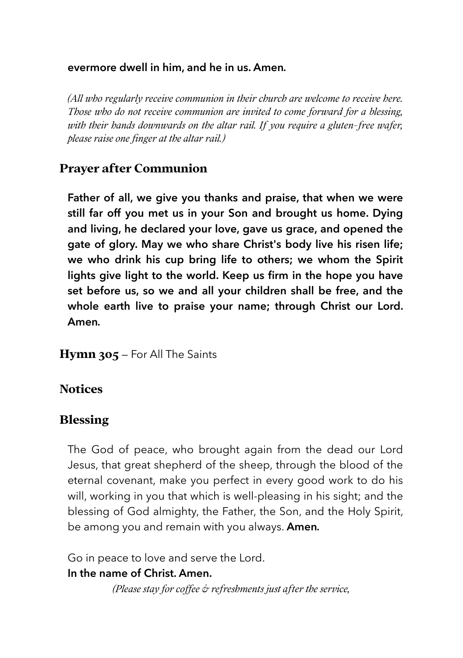#### **evermore dwell in him, and he in us. Amen***.*

*(All who regularly receive communion in their church are welcome to receive here. Those who do not receive communion are invited to come forward for a blessing, with their hands downwards on the altar rail. If you require a gluten-free wafer, please raise one finger at the altar rail.)* 

## **Prayer after Communion**

**Father of all, we give you thanks and praise, that when we were still far off you met us in your Son and brought us home. Dying and living, he declared your love, gave us grace, and opened the gate of glory. May we who share Christ's body live his risen life; we who drink his cup bring life to others; we whom the Spirit lights give light to the world. Keep us firm in the hope you have set before us, so we and all your children shall be free, and the whole earth live to praise your name; through Christ our Lord. Amen***.* 

**Hymn 305** — For All The Saints

## **Notices**

## **Blessing**

The God of peace, who brought again from the dead our Lord Jesus, that great shepherd of the sheep, through the blood of the eternal covenant, make you perfect in every good work to do his will, working in you that which is well-pleasing in his sight; and the blessing of God almighty, the Father, the Son, and the Holy Spirit, be among you and remain with you always. **Amen***.*

Go in peace to love and serve the Lord. **In the name of Christ. Amen.**

*(Please stay for cofee & refreshments just after the service,*